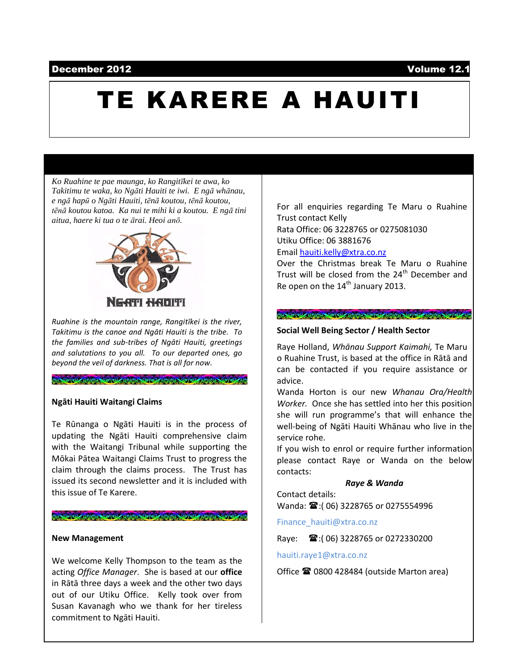### December 2012 Volume 12.1

# TE KARERE A HAUITI

*Ko Ruahine te pae maunga, ko Rangitīkei te awa, ko Takitimu te waka, ko Ngāti Hauiti te iwi. E ngā whānau, e ngā hapū o Ngāti Hauiti, tēnā koutou, tēnā koutou, tēnā koutou katoa. Ka nui te mihi ki a koutou. E ngā tini aitua, haere ki tua o te ārai. Heoi anō.*



*Ruahine is the mountain range, Rangitīkei is the river, Takitimu is the canoe and Ngāti Hauiti is the tribe. To the families and sub-tribes of Ngāti Hauiti, greetings and salutations to you all. To our departed ones, go beyond the veil of darkness. That is all for now.*

### **Ngāti Hauiti Waitangi Claims**

Te Rūnanga o Ngāti Hauiti is in the process of updating the Ngāti Hauiti comprehensive claim with the Waitangi Tribunal while supporting the Mōkai Pātea Waitangi Claims Trust to progress the claim through the claims process. The Trust has issued its second newsletter and it is included with this issue of Te Karere.

### 

### **New Management**

We welcome Kelly Thompson to the team as the acting *Office Manager*. She is based at our **office** in Rātā three days a week and the other two days out of our Utiku Office. Kelly took over from Susan Kavanagh who we thank for her tireless commitment to Ngāti Hauiti.

For all enquiries regarding Te Maru o Ruahine Trust contact Kelly

Rata Office: 06 3228765 or 0275081030 Utiku Office: 06 3881676

Emai[l hauiti.kelly@xtra.co.nz](mailto:hauiti.kelly@xtra.co.nz)

Over the Christmas break Te Maru o Ruahine Trust will be closed from the  $24<sup>th</sup>$  December and Re open on the 14<sup>th</sup> January 2013.

### 

### **Social Well Being Sector / Health Sector**

Raye Holland, *Whānau Support Kaimahi,* Te Maru o Ruahine Trust, is based at the office in Rātā and can be contacted if you require assistance or advice.

Wanda Horton is our new *Whanau Ora/Health Worker.* Once she has settled into her this position she will run programme's that will enhance the well-being of Ngāti Hauiti Whānau who live in the service rohe.

If you wish to enrol or require further information please contact Raye or Wanda on the below contacts:

### *Raye & Wanda*

Contact details: Wanda:  $\mathbf{\mathfrak{B}}$ :(06) 3228765 or 0275554996

Finance\_hauiti@xtra.co.nz

Raye:  $\mathbf{\widehat{m}}$ :(06) 3228765 or 0272330200

hauiti.raye1@xtra.co.nz

Office **☎ 0800 428484** (outside Marton area)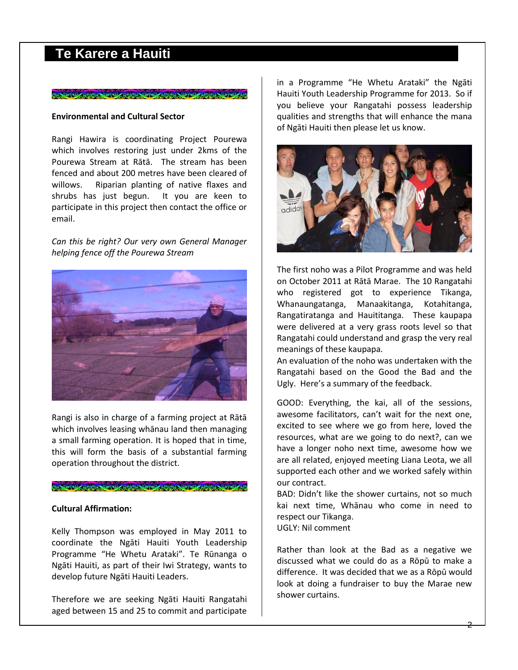## **Te Karere a Hauiti**

### 

### **Environmental and Cultural Sector**

Rangi Hawira is coordinating Project Pourewa which involves restoring just under 2kms of the Pourewa Stream at Rātā. The stream has been fenced and about 200 metres have been cleared of willows. Riparian planting of native flaxes and shrubs has just begun. It you are keen to participate in this project then contact the office or email.

*Can this be right? Our very own General Manager helping fence off the Pourewa Stream*



Rangi is also in charge of a farming project at Rātā which involves leasing whānau land then managing a small farming operation. It is hoped that in time, this will form the basis of a substantial farming operation throughout the district.

#### 

### **Cultural Affirmation:**

Kelly Thompson was employed in May 2011 to coordinate the Ngāti Hauiti Youth Leadership Programme "He Whetu Arataki". Te Rūnanga o Ngāti Hauiti, as part of their Iwi Strategy, wants to develop future Ngāti Hauiti Leaders.

Therefore we are seeking Ngāti Hauiti Rangatahi aged between 15 and 25 to commit and participate

in a Programme "He Whetu Arataki" the Ngāti Hauiti Youth Leadership Programme for 2013. So if you believe your Rangatahi possess leadership qualities and strengths that will enhance the mana of Ngāti Hauiti then please let us know.



The first noho was a Pilot Programme and was held on October 2011 at Rātā Marae. The 10 Rangatahi who registered got to experience Tikanga, Whanaungatanga, Manaakitanga, Kotahitanga, Rangatiratanga and Hauititanga. These kaupapa were delivered at a very grass roots level so that Rangatahi could understand and grasp the very real meanings of these kaupapa.

An evaluation of the noho was undertaken with the Rangatahi based on the Good the Bad and the Ugly. Here's a summary of the feedback.

GOOD: Everything, the kai, all of the sessions, awesome facilitators, can't wait for the next one, excited to see where we go from here, loved the resources, what are we going to do next?, can we have a longer noho next time, awesome how we are all related, enjoyed meeting Liana Leota, we all supported each other and we worked safely within our contract.

BAD: Didn't like the shower curtains, not so much kai next time, Whānau who come in need to respect our Tikanga.

UGLY: Nil comment

Rather than look at the Bad as a negative we discussed what we could do as a Rōpū to make a difference. It was decided that we as a Rōpū would look at doing a fundraiser to buy the Marae new shower curtains.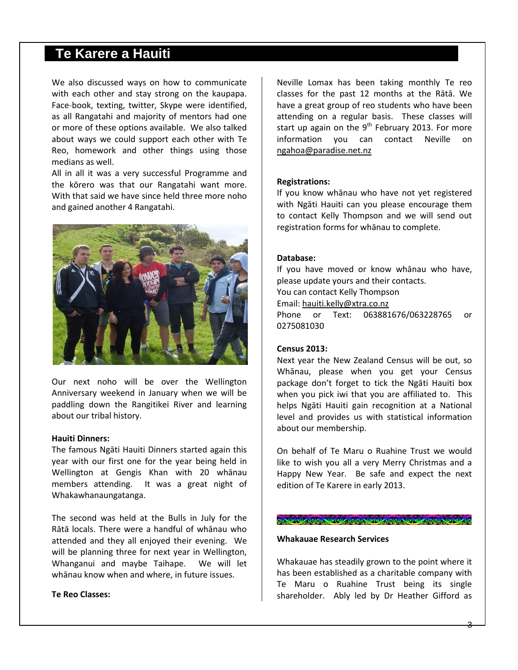### **Te Karere a Hauiti**

We also discussed ways on how to communicate with each other and stay strong on the kaupapa. Face-book, texting, twitter, Skype were identified, as all Rangatahi and majority of mentors had one or more of these options available. We also talked about ways we could support each other with Te Reo, homework and other things using those medians as well.

All in all it was a very successful Programme and the kōrero was that our Rangatahi want more. With that said we have since held three more noho and gained another 4 Rangatahi.



Our next noho will be over the Wellington Anniversary weekend in January when we will be paddling down the Rangitikei River and learning about our tribal history.

### **Hauiti Dinners:**

The famous Ngāti Hauiti Dinners started again this year with our first one for the year being held in Wellington at Gengis Khan with 20 whānau members attending. It was a great night of Whakawhanaungatanga.

The second was held at the Bulls in July for the Rātā locals. There were a handful of whānau who attended and they all enjoyed their evening. We will be planning three for next year in Wellington, Whanganui and maybe Taihape. We will let whānau know when and where, in future issues.

### **Te Reo Classes:**

Neville Lomax has been taking monthly Te reo classes for the past 12 months at the Rātā. We have a great group of reo students who have been attending on a regular basis. These classes will start up again on the  $9<sup>th</sup>$  February 2013. For more information you can contact Neville on [ngahoa@paradise.net.nz](mailto:ngahoa@paradise.net.nz)

### **Registrations:**

If you know whānau who have not yet registered with Ngāti Hauiti can you please encourage them to contact Kelly Thompson and we will send out registration forms for whānau to complete.

### **Database:**

If you have moved or know whānau who have, please update yours and their contacts. You can contact Kelly Thompson Email: [hauiti.kelly@xtra.co.nz](mailto:hauiti.kelly@xtra.co.nz) Phone or Text: 063881676/063228765 or 0275081030

### **Census 2013:**

Next year the New Zealand Census will be out, so Whānau, please when you get your Census package don't forget to tick the Ngāti Hauiti box when you pick iwi that you are affiliated to. This helps Ngāti Hauiti gain recognition at a National level and provides us with statistical information about our membership.

On behalf of Te Maru o Ruahine Trust we would like to wish you all a very Merry Christmas and a Happy New Year. Be safe and expect the next edition of Te Karere in early 2013.

### CO (2) (40) 0) (9) (9) (40) 0) (9) (9) (9) (9) (9) (9) (60) (9) (9)

### **Whakauae Research Services**

Whakauae has steadily grown to the point where it has been established as a charitable company with Te Maru o Ruahine Trust being its single shareholder. Ably led by Dr Heather Gifford as

3